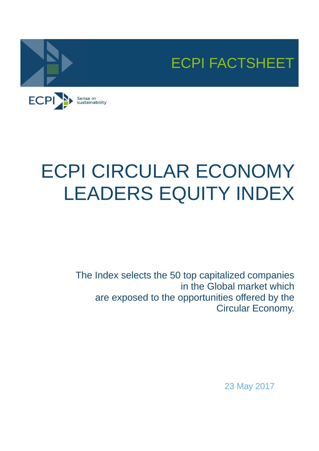



# ECPI CIRCULAR ECONOMY LEADERS EQUITY INDEX

The Index selects the 50 top capitalized companies in the Global market which are exposed to the opportunities offered by the Circular Economy.

23 May 2017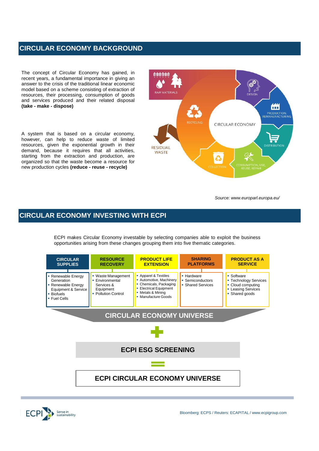### **CIRCULAR ECONOMY BACKGROUND**

The concept of Circular Economy has gained, in recent years, a fundamental importance in giving an answer to the crisis of the traditional linear economic model based on a scheme consisting of extraction of resources, their processing, consumption of goods and services produced and their related disposal **(take - make - dispose)**

A system that is based on a circular economy, however, can help to reduce waste of limited resources, given the exponential growth in their demand, because it requires that all activities, starting from the extraction and production, are organized so that the waste become a resource for new production cycles **(reduce - reuse - recycle)**



*Source: www.europarl.europa.eu/*

## **CIRCULAR ECONOMY INVESTING WITH ECPI**

ECPI makes Circular Economy investable by selecting companies able to exploit the business opportunities arising from these changes grouping them into five thematic categories.



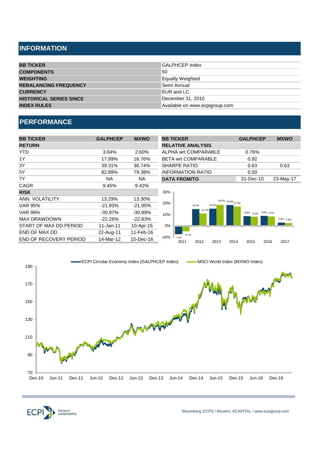# **INFORMATION**

| <b>GALPHCEP Index</b>          |
|--------------------------------|
| 50                             |
| Equally Weighted               |
| Semi Annual                    |
| EUR and LC                     |
| December 31, 2010              |
| Available on www.ecpigroup.com |
|                                |

# **PERFORMANCE**

| <b>BB TICKER</b>              | <b>GALPHCEP</b> | <b>MXWO</b> | <b>BB TICKER</b>                                  | <b>GALPHCEP</b>     | <b>MXWO</b> |
|-------------------------------|-----------------|-------------|---------------------------------------------------|---------------------|-------------|
| <b>RETURN</b>                 |                 |             | <b>RELATIVE ANALYSIS</b>                          |                     |             |
| YTD                           | 3.04%           | 2.60%       | ALPHA wrt COMPARABLE                              | 0.76%               |             |
| 1Y                            | 17.99%          | 16.76%      | <b>BETA wrt COMPARABLE</b>                        | 0.92                |             |
| 3Y                            | 39.31%          | 36.74%      | <b>SHARPE RATIO</b>                               | 0.63                | 0.63        |
| 5Y                            | 82.89%          | 79.38%      | <b>INFORMATION RATIO</b>                          | 0.00                |             |
| 7Y                            | <b>NA</b>       | NA.         | <b>DATA FROM/TO</b>                               | 31-Dec-10           | 23-May-17   |
| <b>CAGR</b>                   | 9.45%           | 9.42%       |                                                   |                     |             |
| <b>RISK</b>                   |                 |             | 30%                                               |                     |             |
| ANN. VOLATILITY               | 13.29%          | 13.30%      | 18.8% 18.6% 17.3%                                 |                     |             |
| <b>VAR 95%</b>                | $-21.93%$       | $-21.95%$   | 20%<br>15.3%<br>15.0%                             |                     |             |
| <b>VAR 99%</b>                | $-30.97\%$      | $-30.99\%$  | 11.2%<br>10%                                      | 8.8% 8.3% 9.0% 8.5% |             |
| <b>MAX DRAWDOWN</b>           | $-22.26%$       | $-22.83%$   |                                                   |                     | 3.0% 2.6%   |
| START OF MAX DD PERIOD        | $11$ -Jan-11    | 10-Apr-15   | $0\%$                                             |                     |             |
| END OF MAX DD                 | 22-Aug-11       | 11-Feb-16   | $-4.7%$                                           |                     |             |
| <b>END OF RECOVERY PERIOD</b> | 14-Mar-12       | 15-Dec-16   | $-10%$<br>$-7.2%$<br>2012<br>2011<br>2013<br>2014 | 2015<br>2016        | 2017        |



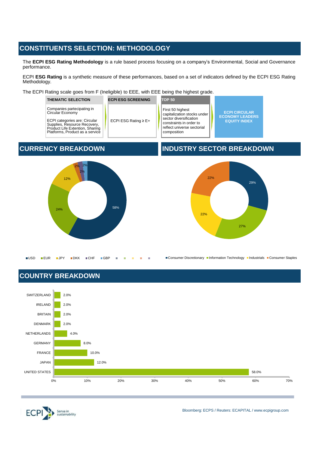# **CONSTITUENTS SELECTION: METHODOLOGY**

The **ECPI ESG Rating Methodology** is a rule based process focusing on a company's Environmental, Social and Governance performance.

ECPI **ESG Rating** is a synthetic measure of these performances, based on a set of indicators defined by the ECPI ESG Rating Methodology.

The ECPI Rating scale goes from F (Ineligible) to EEE, with EEE being the highest grade.

| <b>THEMATIC SELECTION</b>                                                                                                                                                                    | <b>ECPI ESG SCREENING</b> | <b>TOP 50</b>                                                                                                                                     |                                                                       |
|----------------------------------------------------------------------------------------------------------------------------------------------------------------------------------------------|---------------------------|---------------------------------------------------------------------------------------------------------------------------------------------------|-----------------------------------------------------------------------|
| Companies partecipating in<br>Circular Economy<br><b>ECPI</b> categories are: Circular<br>Supplies, Resource Recovery,<br>Product Life Extention, Sharing<br>Platforms. Product as a service | ECPI ESG Rating $\geq$ E+ | First 50 highest<br>capitalization stocks under<br>sector diversification<br>constraints in order to<br>reflect universe sectorial<br>composition | <b>ECPI CIRCULAR</b><br><b>ECONOMY LEADERS</b><br><b>EQUITY INDEX</b> |



# **CURRENCY BREAKDOWN INDUSTRY SECTOR BREAKDOWN**



■Consumer Discretionary ■Information Technology ■Industrials ■Consumer Staples

# **COUNTRY BREAKDOWN**





Bloomberg: ECPS / Reuters: ECAPITAL / www.ecpigroup.com